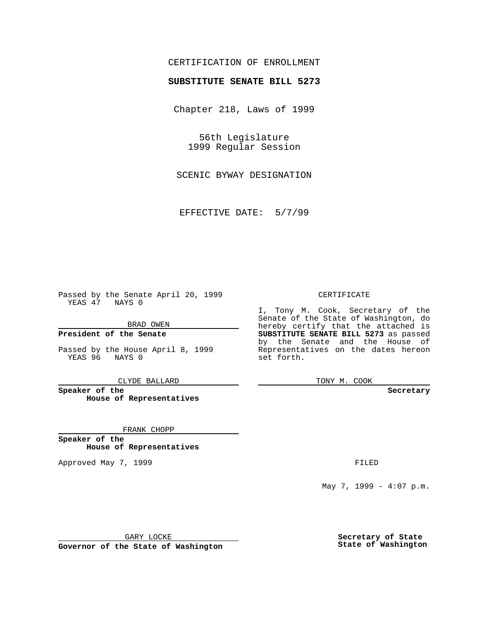### CERTIFICATION OF ENROLLMENT

# **SUBSTITUTE SENATE BILL 5273**

Chapter 218, Laws of 1999

56th Legislature 1999 Regular Session

SCENIC BYWAY DESIGNATION

EFFECTIVE DATE: 5/7/99

Passed by the Senate April 20, 1999 YEAS 47 NAYS 0

BRAD OWEN

**President of the Senate**

Passed by the House April 8, 1999 YEAS 96 NAYS 0

CLYDE BALLARD

**Speaker of the House of Representatives**

FRANK CHOPP

**Speaker of the House of Representatives**

Approved May 7, 1999 **FILED** 

#### CERTIFICATE

I, Tony M. Cook, Secretary of the Senate of the State of Washington, do hereby certify that the attached is **SUBSTITUTE SENATE BILL 5273** as passed by the Senate and the House of Representatives on the dates hereon set forth.

TONY M. COOK

#### **Secretary**

May 7, 1999 - 4:07 p.m.

GARY LOCKE

**Governor of the State of Washington**

**Secretary of State State of Washington**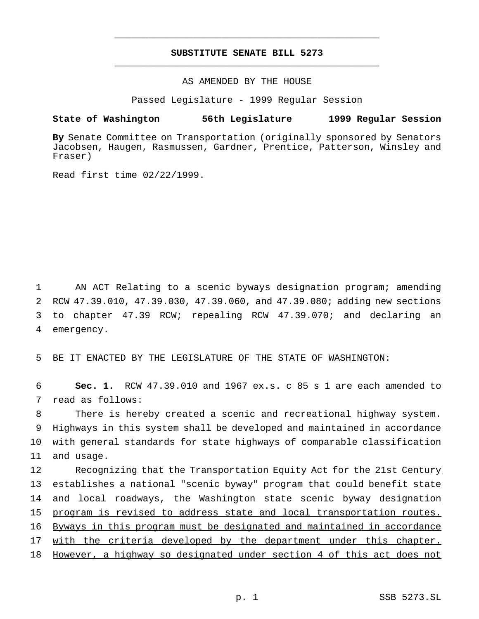## **SUBSTITUTE SENATE BILL 5273** \_\_\_\_\_\_\_\_\_\_\_\_\_\_\_\_\_\_\_\_\_\_\_\_\_\_\_\_\_\_\_\_\_\_\_\_\_\_\_\_\_\_\_\_\_\_\_

\_\_\_\_\_\_\_\_\_\_\_\_\_\_\_\_\_\_\_\_\_\_\_\_\_\_\_\_\_\_\_\_\_\_\_\_\_\_\_\_\_\_\_\_\_\_\_

### AS AMENDED BY THE HOUSE

Passed Legislature - 1999 Regular Session

#### **State of Washington 56th Legislature 1999 Regular Session**

**By** Senate Committee on Transportation (originally sponsored by Senators Jacobsen, Haugen, Rasmussen, Gardner, Prentice, Patterson, Winsley and Fraser)

Read first time 02/22/1999.

 AN ACT Relating to a scenic byways designation program; amending RCW 47.39.010, 47.39.030, 47.39.060, and 47.39.080; adding new sections to chapter 47.39 RCW; repealing RCW 47.39.070; and declaring an emergency.

5 BE IT ENACTED BY THE LEGISLATURE OF THE STATE OF WASHINGTON:

6 **Sec. 1.** RCW 47.39.010 and 1967 ex.s. c 85 s 1 are each amended to 7 read as follows:

 There is hereby created a scenic and recreational highway system. Highways in this system shall be developed and maintained in accordance with general standards for state highways of comparable classification and usage.

 Recognizing that the Transportation Equity Act for the 21st Century establishes a national "scenic byway" program that could benefit state 14 and local roadways, the Washington state scenic byway designation program is revised to address state and local transportation routes. Byways in this program must be designated and maintained in accordance 17 with the criteria developed by the department under this chapter. However, a highway so designated under section 4 of this act does not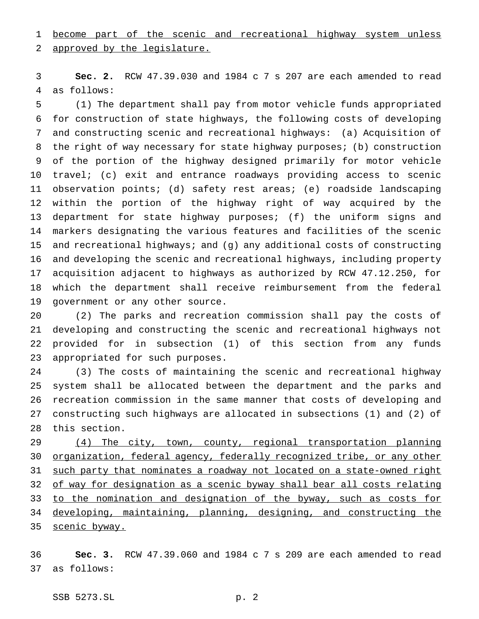become part of the scenic and recreational highway system unless

approved by the legislature.

 **Sec. 2.** RCW 47.39.030 and 1984 c 7 s 207 are each amended to read as follows:

 (1) The department shall pay from motor vehicle funds appropriated for construction of state highways, the following costs of developing and constructing scenic and recreational highways: (a) Acquisition of the right of way necessary for state highway purposes; (b) construction of the portion of the highway designed primarily for motor vehicle travel; (c) exit and entrance roadways providing access to scenic observation points; (d) safety rest areas; (e) roadside landscaping within the portion of the highway right of way acquired by the department for state highway purposes; (f) the uniform signs and markers designating the various features and facilities of the scenic and recreational highways; and (g) any additional costs of constructing and developing the scenic and recreational highways, including property acquisition adjacent to highways as authorized by RCW 47.12.250, for which the department shall receive reimbursement from the federal government or any other source.

 (2) The parks and recreation commission shall pay the costs of developing and constructing the scenic and recreational highways not provided for in subsection (1) of this section from any funds appropriated for such purposes.

 (3) The costs of maintaining the scenic and recreational highway system shall be allocated between the department and the parks and recreation commission in the same manner that costs of developing and constructing such highways are allocated in subsections (1) and (2) of this section.

 (4) The city, town, county, regional transportation planning organization, federal agency, federally recognized tribe, or any other such party that nominates a roadway not located on a state-owned right 32 of way for designation as a scenic byway shall bear all costs relating 33 to the nomination and designation of the byway, such as costs for developing, maintaining, planning, designing, and constructing the 35 scenic byway.

 **Sec. 3.** RCW 47.39.060 and 1984 c 7 s 209 are each amended to read as follows: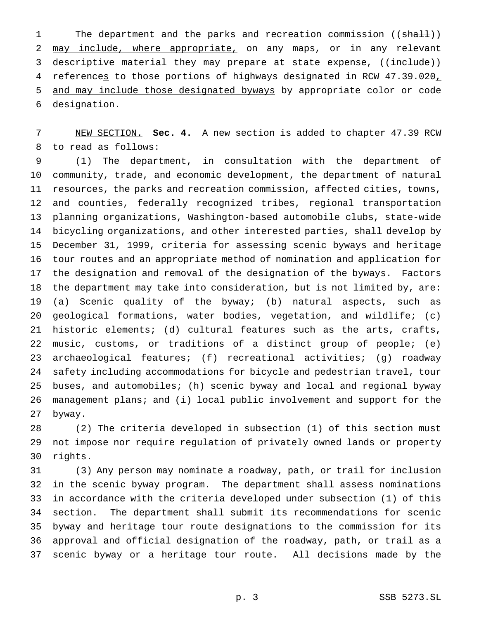1 The department and the parks and recreation commission ((shall)) 2 may include, where appropriate, on any maps, or in any relevant 3 descriptive material they may prepare at state expense, ((include)) 4 references to those portions of highways designated in RCW 47.39.020, and may include those designated byways by appropriate color or code designation.

 NEW SECTION. **Sec. 4.** A new section is added to chapter 47.39 RCW to read as follows:

 (1) The department, in consultation with the department of community, trade, and economic development, the department of natural resources, the parks and recreation commission, affected cities, towns, and counties, federally recognized tribes, regional transportation planning organizations, Washington-based automobile clubs, state-wide bicycling organizations, and other interested parties, shall develop by December 31, 1999, criteria for assessing scenic byways and heritage tour routes and an appropriate method of nomination and application for the designation and removal of the designation of the byways. Factors the department may take into consideration, but is not limited by, are: (a) Scenic quality of the byway; (b) natural aspects, such as geological formations, water bodies, vegetation, and wildlife; (c) historic elements; (d) cultural features such as the arts, crafts, music, customs, or traditions of a distinct group of people; (e) archaeological features; (f) recreational activities; (g) roadway safety including accommodations for bicycle and pedestrian travel, tour buses, and automobiles; (h) scenic byway and local and regional byway management plans; and (i) local public involvement and support for the byway.

 (2) The criteria developed in subsection (1) of this section must not impose nor require regulation of privately owned lands or property rights.

 (3) Any person may nominate a roadway, path, or trail for inclusion in the scenic byway program. The department shall assess nominations in accordance with the criteria developed under subsection (1) of this section. The department shall submit its recommendations for scenic byway and heritage tour route designations to the commission for its approval and official designation of the roadway, path, or trail as a scenic byway or a heritage tour route. All decisions made by the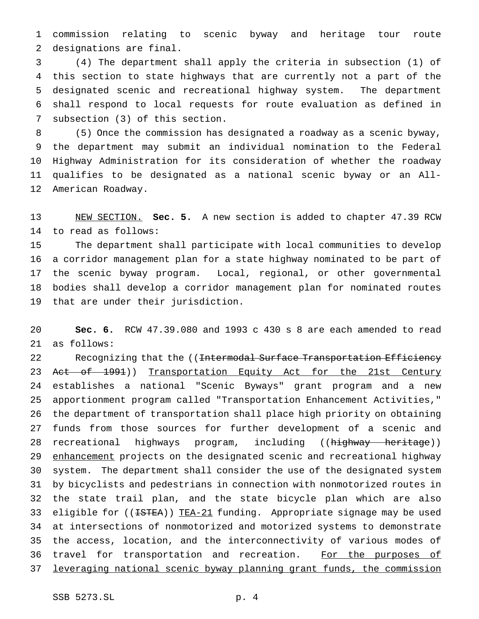commission relating to scenic byway and heritage tour route designations are final.

 (4) The department shall apply the criteria in subsection (1) of this section to state highways that are currently not a part of the designated scenic and recreational highway system. The department shall respond to local requests for route evaluation as defined in subsection (3) of this section.

 (5) Once the commission has designated a roadway as a scenic byway, the department may submit an individual nomination to the Federal Highway Administration for its consideration of whether the roadway qualifies to be designated as a national scenic byway or an All-American Roadway.

 NEW SECTION. **Sec. 5.** A new section is added to chapter 47.39 RCW to read as follows:

 The department shall participate with local communities to develop a corridor management plan for a state highway nominated to be part of the scenic byway program. Local, regional, or other governmental bodies shall develop a corridor management plan for nominated routes that are under their jurisdiction.

 **Sec. 6.** RCW 47.39.080 and 1993 c 430 s 8 are each amended to read as follows:

22 Recognizing that the ((Intermodal Surface Transportation Efficiency 23 Act of 1991)) Transportation Equity Act for the 21st Century establishes a national "Scenic Byways" grant program and a new apportionment program called "Transportation Enhancement Activities," the department of transportation shall place high priority on obtaining funds from those sources for further development of a scenic and 28 recreational highways program, including ((highway heritage)) 29 enhancement projects on the designated scenic and recreational highway system. The department shall consider the use of the designated system by bicyclists and pedestrians in connection with nonmotorized routes in the state trail plan, and the state bicycle plan which are also 33 eligible for ((<del>ISTEA</del>)) TEA-21 funding. Appropriate signage may be used at intersections of nonmotorized and motorized systems to demonstrate the access, location, and the interconnectivity of various modes of 36 travel for transportation and recreation. For the purposes of leveraging national scenic byway planning grant funds, the commission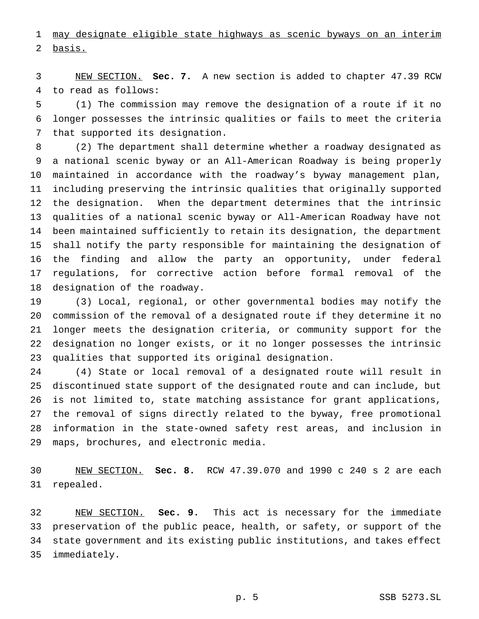may designate eligible state highways as scenic byways on an interim basis.

 NEW SECTION. **Sec. 7.** A new section is added to chapter 47.39 RCW to read as follows:

 (1) The commission may remove the designation of a route if it no longer possesses the intrinsic qualities or fails to meet the criteria that supported its designation.

 (2) The department shall determine whether a roadway designated as a national scenic byway or an All-American Roadway is being properly maintained in accordance with the roadway's byway management plan, including preserving the intrinsic qualities that originally supported the designation. When the department determines that the intrinsic qualities of a national scenic byway or All-American Roadway have not been maintained sufficiently to retain its designation, the department shall notify the party responsible for maintaining the designation of the finding and allow the party an opportunity, under federal regulations, for corrective action before formal removal of the designation of the roadway.

 (3) Local, regional, or other governmental bodies may notify the commission of the removal of a designated route if they determine it no longer meets the designation criteria, or community support for the designation no longer exists, or it no longer possesses the intrinsic qualities that supported its original designation.

 (4) State or local removal of a designated route will result in discontinued state support of the designated route and can include, but is not limited to, state matching assistance for grant applications, the removal of signs directly related to the byway, free promotional information in the state-owned safety rest areas, and inclusion in maps, brochures, and electronic media.

 NEW SECTION. **Sec. 8.** RCW 47.39.070 and 1990 c 240 s 2 are each repealed.

 NEW SECTION. **Sec. 9.** This act is necessary for the immediate preservation of the public peace, health, or safety, or support of the state government and its existing public institutions, and takes effect immediately.